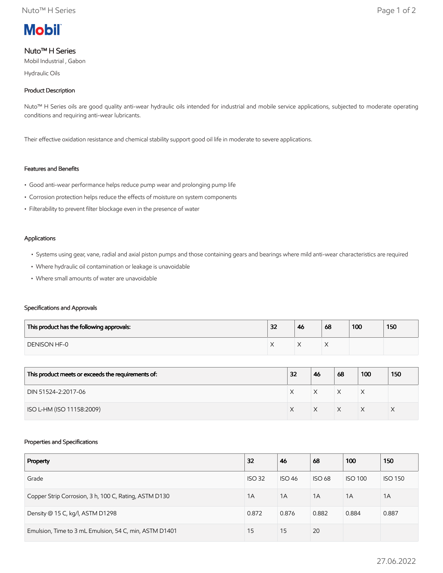

# Nuto™ H Series

Mobil Industrial , Gabon

Hydraulic Oils

# Product Description

Nuto™ H Series oils are good quality anti-wear hydraulic oils intended for industrial and mobile service applications, subjected to moderate operating conditions and requiring anti-wear lubricants.

Their effective oxidation resistance and chemical stability support good oil life in moderate to severe applications.

# Features and Benefits

- Good anti-wear performance helps reduce pump wear and prolonging pump life
- Corrosion protection helps reduce the effects of moisture on system components
- Filterability to prevent filter blockage even in the presence of water

#### Applications

- Systems using gear, vane, radial and axial piston pumps and those containing gears and bearings where mild anti-wear characteristics are required
- Where hydraulic oil contamination or leakage is unavoidable
- Where small amounts of water are unavoidable

### Specifications and Approvals

| This product has the following approvals: | 32 | 46 | 68 | 100 | 150 |
|-------------------------------------------|----|----|----|-----|-----|
| <b>DENISON HF-0</b>                       |    |    |    |     |     |

| This product meets or exceeds the requirements of: | 32 | 46 | 68           | 100 | 150 |
|----------------------------------------------------|----|----|--------------|-----|-----|
| DIN 51524-2:2017-06                                |    |    | $\checkmark$ | ⋏   |     |
| ISO L-HM (ISO 11158:2009)                          |    |    | $\checkmark$ |     |     |

#### Properties and Specifications

| Property                                               | 32            | 46            | 68            | 100            | 150            |
|--------------------------------------------------------|---------------|---------------|---------------|----------------|----------------|
| Grade                                                  | <b>ISO 32</b> | <b>ISO 46</b> | <b>ISO 68</b> | <b>ISO 100</b> | <b>ISO 150</b> |
| Copper Strip Corrosion, 3 h, 100 C, Rating, ASTM D130  | 1A            | 1A            | 1A            | 1A             | 1A             |
| Density @ 15 C, kg/l, ASTM D1298                       | 0.872         | 0.876         | 0.882         | 0.884          | 0.887          |
| Emulsion, Time to 3 mL Emulsion, 54 C, min, ASTM D1401 | 15            | 15            | 20            |                |                |